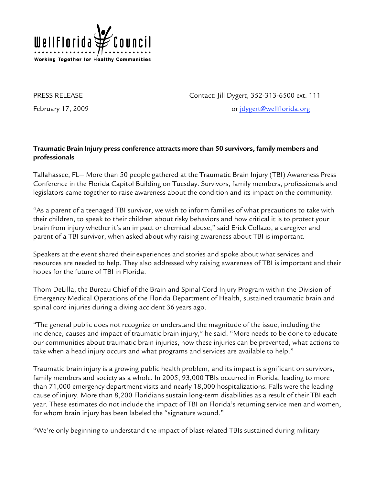

PRESS RELEASE Contact: Jill Dygert, 352-313-6500 ext. 111 February 17, 2009 **February 17, 2009 or jdygert@wellflorida.org** 

## **Traumatic Brain Injury press conference attracts more than 50 survivors, family members and professionals**

Tallahassee, FL— More than 50 people gathered at the Traumatic Brain Injury (TBI) Awareness Press Conference in the Florida Capitol Building on Tuesday. Survivors, family members, professionals and legislators came together to raise awareness about the condition and its impact on the community.

"As a parent of a teenaged TBI survivor, we wish to inform families of what precautions to take with their children, to speak to their children about risky behaviors and how critical it is to protect your brain from injury whether it's an impact or chemical abuse," said Erick Collazo, a caregiver and parent of a TBI survivor, when asked about why raising awareness about TBI is important.

Speakers at the event shared their experiences and stories and spoke about what services and resources are needed to help. They also addressed why raising awareness of TBI is important and their hopes for the future of TBI in Florida.

Thom DeLilla, the Bureau Chief of the Brain and Spinal Cord Injury Program within the Division of Emergency Medical Operations of the Florida Department of Health, sustained traumatic brain and spinal cord injuries during a diving accident 36 years ago.

"The general public does not recognize or understand the magnitude of the issue, including the incidence, causes and impact of traumatic brain injury," he said. "More needs to be done to educate our communities about traumatic brain injuries, how these injuries can be prevented, what actions to take when a head injury occurs and what programs and services are available to help."

Traumatic brain injury is a growing public health problem, and its impact is significant on survivors, family members and society as a whole. In 2005, 93,000 TBIs occurred in Florida, leading to more than 71,000 emergency department visits and nearly 18,000 hospitalizations. Falls were the leading cause of injury. More than 8,200 Floridians sustain long-term disabilities as a result of their TBI each year. These estimates do not include the impact of TBI on Florida's returning service men and women, for whom brain injury has been labeled the "signature wound."

"We're only beginning to understand the impact of blast-related TBIs sustained during military